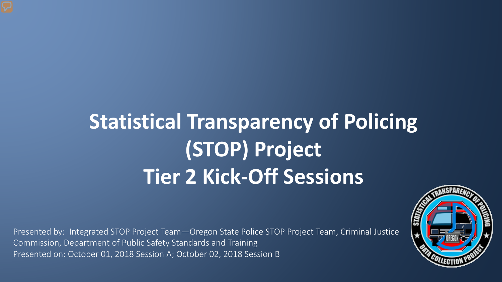# **Statistical Transparency of Policing (STOP) Project Tier 2 Kick-Off Sessions**

Presented by: Integrated STOP Project Team—Oregon State Police STOP Project Team, Criminal Justice Commission, Department of Public Safety Standards and Training Presented on: October 01, 2018 Session A; October 02, 2018 Session B

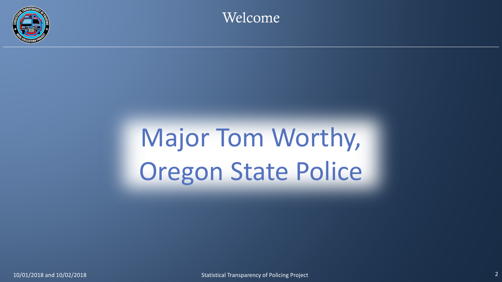

Welcome

# Major Tom Worthy, Oregon State Police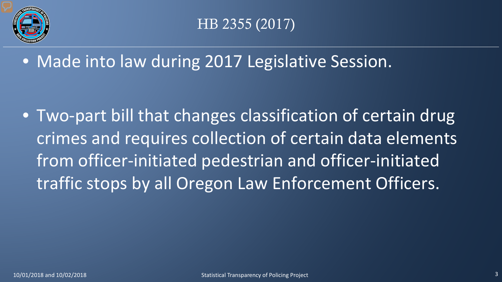

## HB 2355 (2017)

• Made into law during 2017 Legislative Session.

• Two-part bill that changes classification of certain drug crimes and requires collection of certain data elements from officer-initiated pedestrian and officer-initiated traffic stops by all Oregon Law Enforcement Officers.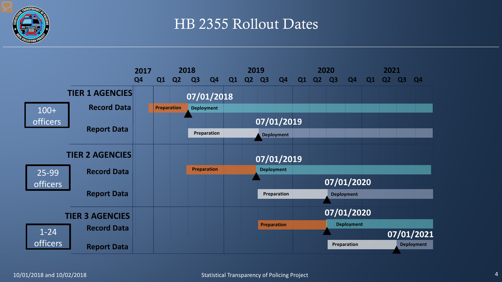

#### HB 2355 Rollout Dates

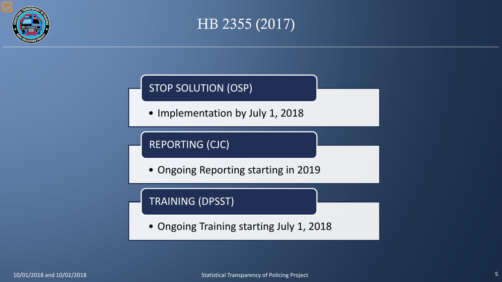

#### HB 2355 (2017)

#### STOP SOLUTION (OSP)

• Implementation by July 1, 2018

#### REPORTING (CJC)

• Ongoing Reporting starting in 2019

#### TRAINING (DPSST)

• Ongoing Training starting July 1, 2018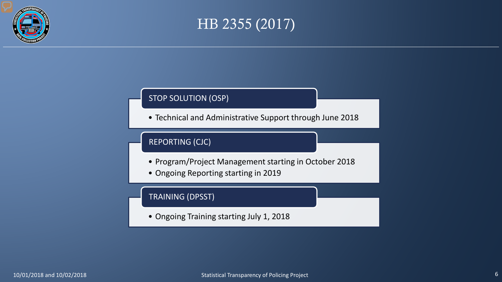

#### HB 2355 (2017)

#### STOP SOLUTION (OSP)

• Technical and Administrative Support through June 2018

#### REPORTING (CJC)

- Program/Project Management starting in October 2018
- Ongoing Reporting starting in 2019

#### TRAINING (DPSST)

• Ongoing Training starting July 1, 2018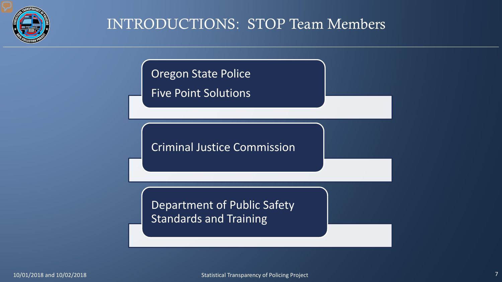

### INTRODUCTIONS: STOP Team Members

**Oregon State Police** 

Five Point Solutions

Criminal Justice Commission

Department of Public Safety Standards and Training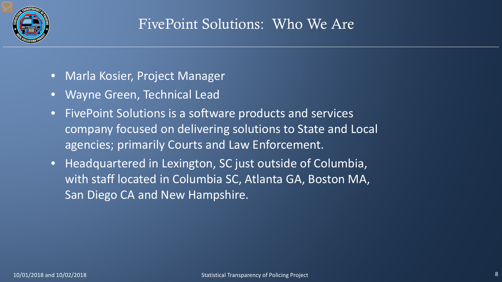

- Marla Kosier, Project Manager
- Wayne Green, Technical Lead
- FivePoint Solutions is a software products and services company focused on delivering solutions to State and Local agencies; primarily Courts and Law Enforcement.
- Headquartered in Lexington, SC just outside of Columbia, with staff located in Columbia SC, Atlanta GA, Boston MA, San Diego CA and New Hampshire.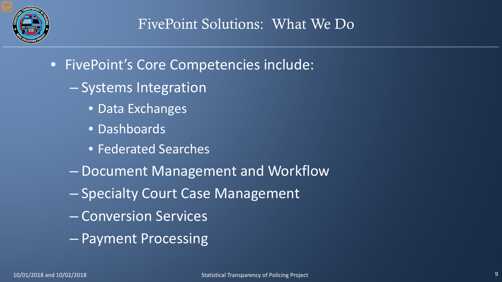

- FivePoint's Core Competencies include:
	- Systems Integration
		- Data Exchanges
		- Dashboards
		- Federated Searches
	- Document Management and Workflow
	- Specialty Court Case Management
	- Conversion Services
	- Payment Processing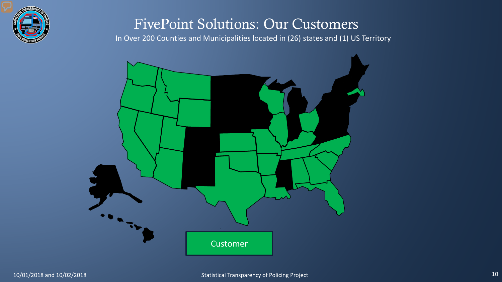

#### FivePoint Solutions: Our Customers

In Over 200 Counties and Municipalities located in (26) states and (1) US Territory

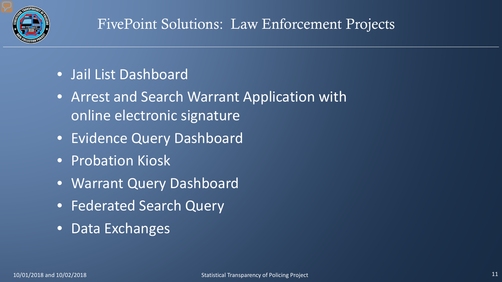

# FivePoint Solutions: Law Enforcement Projects

- Jail List Dashboard
- Arrest and Search Warrant Application with online electronic signature
- Evidence Query Dashboard
- Probation Kiosk
- Warrant Query Dashboard
- Federated Search Query
- Data Exchanges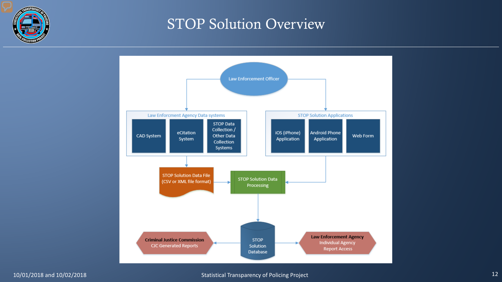

#### STOP Solution Overview

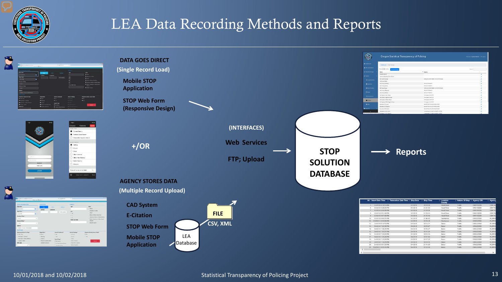

### LEA Data Recording Methods and Reports







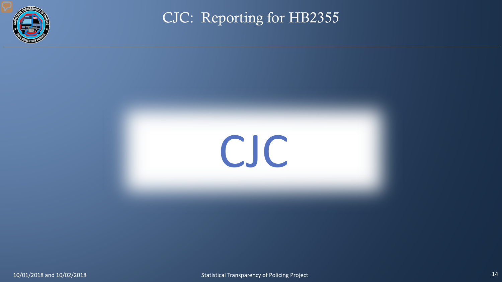

CJC: Reporting for HB2355

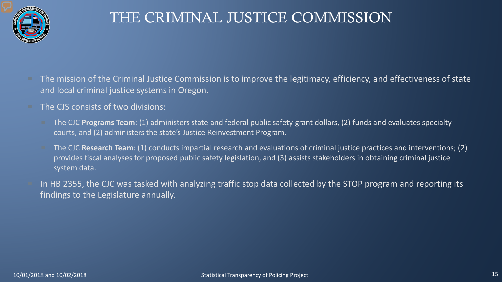

# THE CRIMINAL JUSTICE COMMISSION

- The mission of the Criminal Justice Commission is to improve the legitimacy, efficiency, and effectiveness of state and local criminal justice systems in Oregon.
- The CJS consists of two divisions:
	- The CJC **Programs Team**: (1) administers state and federal public safety grant dollars, (2) funds and evaluates specialty courts, and (2) administers the state's Justice Reinvestment Program.
	- The CJC **Research Team**: (1) conducts impartial research and evaluations of criminal justice practices and interventions; (2) provides fiscal analyses for proposed public safety legislation, and (3) assists stakeholders in obtaining criminal justice system data.
- In HB 2355, the CJC was tasked with analyzing traffic stop data collected by the STOP program and reporting its findings to the Legislature annually.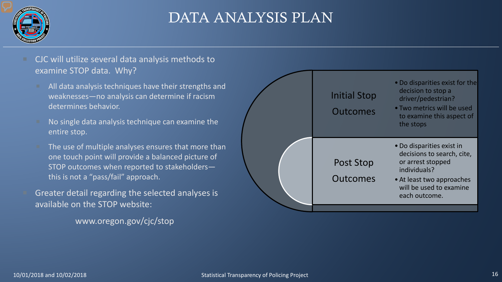

### DATA ANALYSIS PLAN

#### CJC will utilize several data analysis methods to examine STOP data. Why?

- All data analysis techniques have their strengths and weaknesses—no analysis can determine if racism determines behavior.
- No single data analysis technique can examine the entire stop.
- The use of multiple analyses ensures that more than one touch point will provide a balanced picture of STOP outcomes when reported to stakeholders this is not a "pass/fail" approach.
- Greater detail regarding the selected analyses is available on the STOP website:

www.oregon.gov/cjc/stop

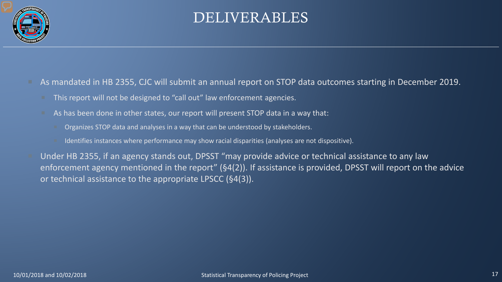

#### DELIVERABLES

- As mandated in HB 2355, CJC will submit an annual report on STOP data outcomes starting in December 2019.
	- This report will not be designed to "call out" law enforcement agencies.
	- As has been done in other states, our report will present STOP data in a way that:
		- Organizes STOP data and analyses in a way that can be understood by stakeholders.
		- Identifies instances where performance may show racial disparities (analyses are not dispositive).
- Under HB 2355, if an agency stands out, DPSST "may provide advice or technical assistance to any law enforcement agency mentioned in the report" (§4(2)). If assistance is provided, DPSST will report on the advice or technical assistance to the appropriate LPSCC (§4(3)).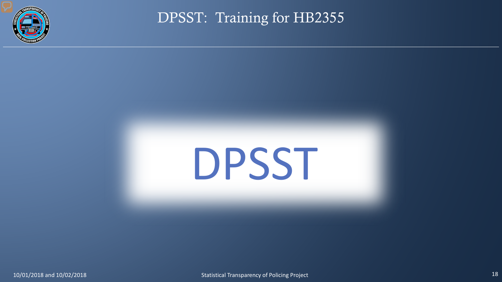

DPSST: Training for HB2355

# DPSST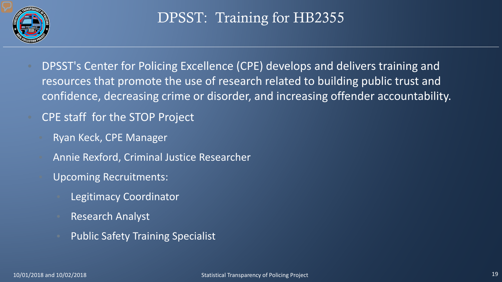

# DPSST: Training for HB2355

- DPSST's Center for Policing Excellence (CPE) develops and delivers training and resources that promote the use of research related to building public trust and confidence, decreasing crime or disorder, and increasing offender accountability.
	- CPE staff for the STOP Project
		- Ryan Keck, CPE Manager
		- Annie Rexford, Criminal Justice Researcher
		- Upcoming Recruitments:
			- Legitimacy Coordinator
			- Research Analyst
			- Public Safety Training Specialist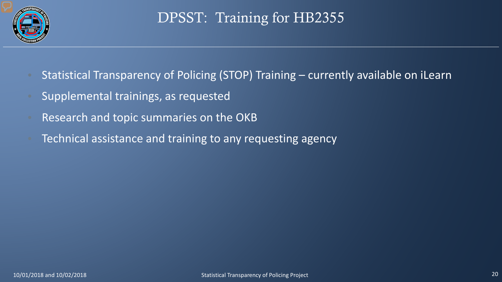

# DPSST: Training for HB2355

- Statistical Transparency of Policing (STOP) Training currently available on iLearn
- Supplemental trainings, as requested
- Research and topic summaries on the OKB
- Technical assistance and training to any requesting agency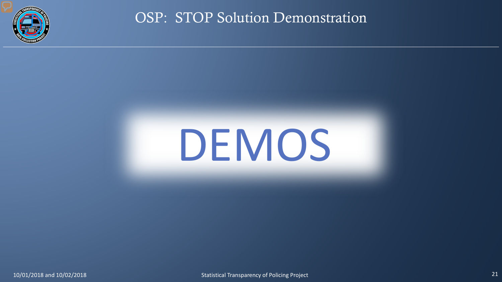

OSP: STOP Solution Demonstration

# DEMOS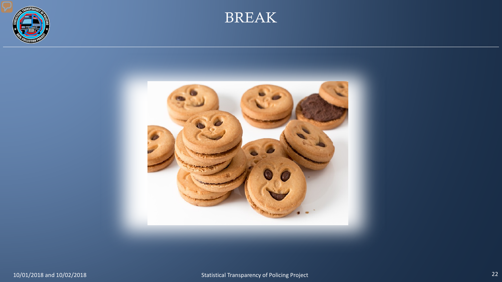



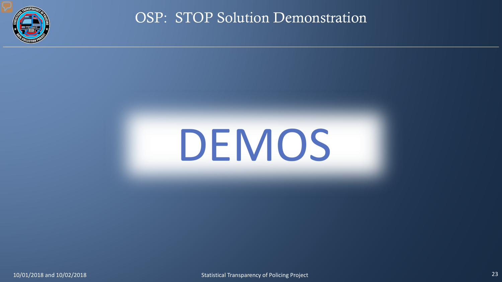

OSP: STOP Solution Demonstration

# DEMOS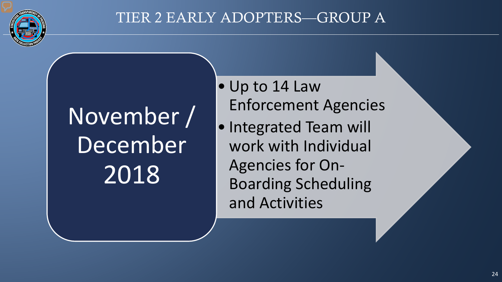

# November / December 2018

- Up to 14 Law Enforcement Agencies
- Integrated Team will work with Individual Agencies for On-Boarding Scheduling and Activities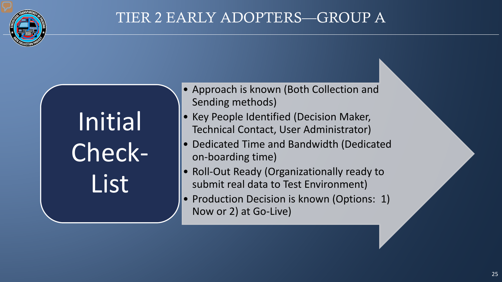

Initial Check-List

- Approach is known (Both Collection and Sending methods)
- Key People Identified (Decision Maker, Technical Contact, User Administrator)
- Dedicated Time and Bandwidth (Dedicated on-boarding time)
- Roll-Out Ready (Organizationally ready to submit real data to Test Environment)
- Production Decision is known (Options: 1) Now or 2) at Go-Live)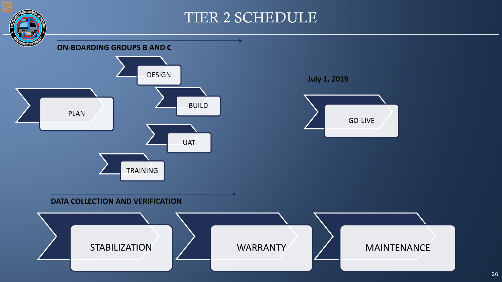#### TIER 2 SCHEDULE



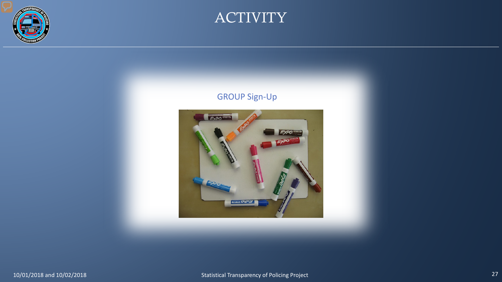



#### GROUP Sign-Up

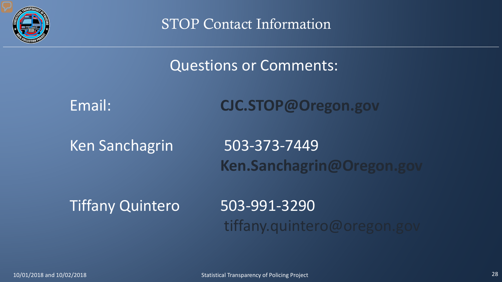

STOP Contact Information

Questions or Comments:

Email: **CJC.STOP@Oregon.gov**

Ken Sanchagrin 503-373-7449 **Ken.Sanchagrin@Oregon.gov**

Tiffany Quintero 503-991-3290

tiffany.quintero@oregon.gov